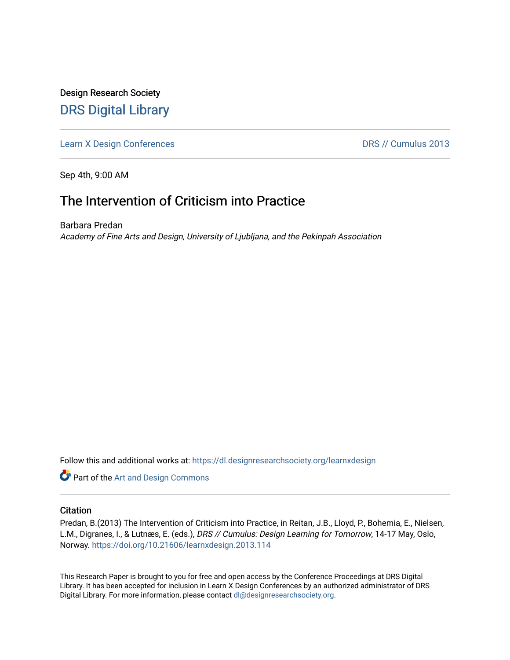Design Research Society [DRS Digital Library](https://dl.designresearchsociety.org/)

[Learn X Design Conferences](https://dl.designresearchsociety.org/learnxdesign) **DRS // Cumulus 2013** 

Sep 4th, 9:00 AM

# The Intervention of Criticism into Practice

Barbara Predan Academy of Fine Arts and Design, University of Ljubljana, and the Pekinpah Association

Follow this and additional works at: [https://dl.designresearchsociety.org/learnxdesign](https://dl.designresearchsociety.org/learnxdesign?utm_source=dl.designresearchsociety.org%2Flearnxdesign%2Flearnxdesign2013%2Fresearchpapers%2F112&utm_medium=PDF&utm_campaign=PDFCoverPages)

**Part of the [Art and Design Commons](http://network.bepress.com/hgg/discipline/1049?utm_source=dl.designresearchsociety.org%2Flearnxdesign%2Flearnxdesign2013%2Fresearchpapers%2F112&utm_medium=PDF&utm_campaign=PDFCoverPages)** 

### **Citation**

Predan, B.(2013) The Intervention of Criticism into Practice, in Reitan, J.B., Lloyd, P., Bohemia, E., Nielsen, L.M., Digranes, I., & Lutnæs, E. (eds.), DRS // Cumulus: Design Learning for Tomorrow, 14-17 May, Oslo, Norway.<https://doi.org/10.21606/learnxdesign.2013.114>

This Research Paper is brought to you for free and open access by the Conference Proceedings at DRS Digital Library. It has been accepted for inclusion in Learn X Design Conferences by an authorized administrator of DRS Digital Library. For more information, please contact [dl@designresearchsociety.org](mailto:dl@designresearchsociety.org).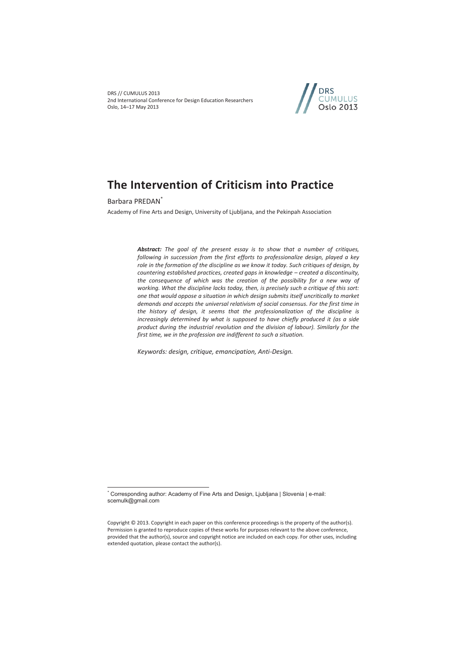DRS // CUMULUS 2013 2nd International Conference for Design Education Researchers Oslo, 14–17 May 2013



# **The Intervention of Criticism into Practice**

Barbara PREDAN\*

 $\overline{a}$ 

Academy of Fine Arts and Design, University of Ljubljana, and the Pekinpah Association

*Abstract: The goal of the present essay is to show that a number of critiques, following in succession from the first efforts to professionalize design, played a key role in the formation of the discipline as we know it today. Such critiques of design, by countering established practices, created gaps in knowledge – created a discontinuity,*  the consequence of which was the creation of the possibility for a new way of *working. What the discipline lacks today, then, is precisely such a critique of this sort: one that would oppose a situation in which design submits itself uncritically to market*  demands and accepts the universal relativism of social consensus. For the first time in *the history of design, it seems that the professionalization of the discipline is increasingly determined by what is supposed to have chiefly produced it (as a side product during the industrial revolution and the division of labour). Similarly for the first time, we in the profession are indifferent to such a situation.* 

*Keywords: design, critique, emancipation, Anti-Design.* 

<sup>\*</sup> Corresponding author: Academy of Fine Arts and Design, Ljubljana | Slovenia | e-mail: scemulk@gmail.com

Copyright © 2013. Copyright in each paper on this conference proceedings is the property of the author(s). Permission is granted to reproduce copies of these works for purposes relevant to the above conference, provided that the author(s), source and copyright notice are included on each copy. For other uses, including extended quotation, please contact the author(s).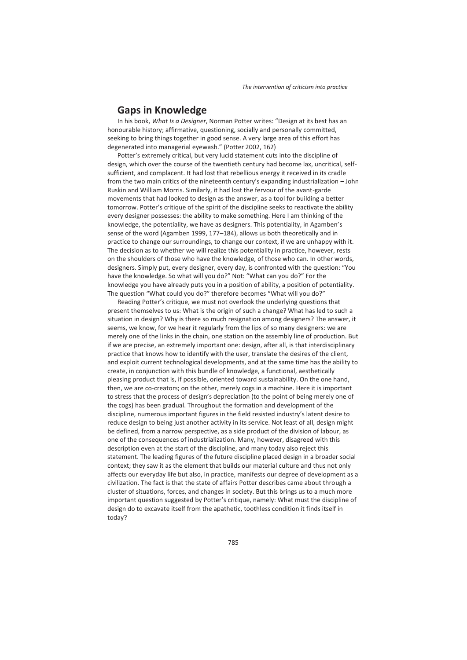### **Gaps in Knowledge**

In his book, *What Is a Designer*, Norman Potter writes: "Design at its best has an honourable history; affirmative, questioning, socially and personally committed, seeking to bring things together in good sense. A very large area of this effort has degenerated into managerial eyewash." (Potter 2002, 162)

Potter's extremely critical, but very lucid statement cuts into the discipline of design, which over the course of the twentieth century had become lax, uncritical, selfsufficient, and complacent. It had lost that rebellious energy it received in its cradle from the two main critics of the nineteenth century's expanding industrialization – John Ruskin and William Morris. Similarly, it had lost the fervour of the avant-garde movements that had looked to design as the answer, as a tool for building a better tomorrow. Potter's critique of the spirit of the discipline seeks to reactivate the ability every designer possesses: the ability to make something. Here I am thinking of the knowledge, the potentiality, we have as designers. This potentiality, in Agamben's sense of the word (Agamben 1999, 177–184), allows us both theoretically and in practice to change our surroundings, to change our context, if we are unhappy with it. The decision as to whether we will realize this potentiality in practice, however, rests on the shoulders of those who have the knowledge, of those who can. In other words, designers. Simply put, every designer, every day, is confronted with the question: "You have the knowledge. So what will you do?" Not: "What can you do?" For the knowledge you have already puts you in a position of ability, a position of potentiality. The question "What could you do?" therefore becomes "What will you do?"

Reading Potter's critique, we must not overlook the underlying questions that present themselves to us: What is the origin of such a change? What has led to such a situation in design? Why is there so much resignation among designers? The answer, it seems, we know, for we hear it regularly from the lips of so many designers: we are merely one of the links in the chain, one station on the assembly line of production. But if we are precise, an extremely important one: design, after all, is that interdisciplinary practice that knows how to identify with the user, translate the desires of the client, and exploit current technological developments, and at the same time has the ability to create, in conjunction with this bundle of knowledge, a functional, aesthetically pleasing product that is, if possible, oriented toward sustainability. On the one hand, then, we are co-creators; on the other, merely cogs in a machine. Here it is important to stress that the process of design's depreciation (to the point of being merely one of the cogs) has been gradual. Throughout the formation and development of the discipline, numerous important figures in the field resisted industry's latent desire to reduce design to being just another activity in its service. Not least of all, design might be defined, from a narrow perspective, as a side product of the division of labour, as one of the consequences of industrialization. Many, however, disagreed with this description even at the start of the discipline, and many today also reject this statement. The leading figures of the future discipline placed design in a broader social context; they saw it as the element that builds our material culture and thus not only affects our everyday life but also, in practice, manifests our degree of development as a civilization. The fact is that the state of affairs Potter describes came about through a cluster of situations, forces, and changes in society. But this brings us to a much more important question suggested by Potter's critique, namely: What must the discipline of design do to excavate itself from the apathetic, toothless condition it finds itself in today?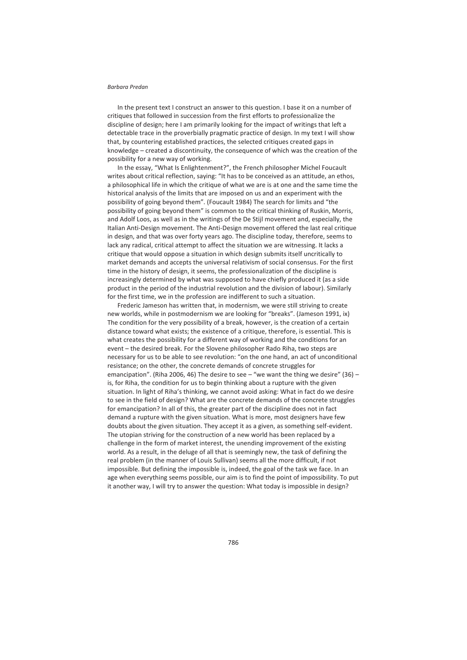In the present text I construct an answer to this question. I base it on a number of critiques that followed in succession from the first efforts to professionalize the discipline of design; here I am primarily looking for the impact of writings that left a detectable trace in the proverbially pragmatic practice of design. In my text I will show that, by countering established practices, the selected critiques created gaps in knowledge – created a discontinuity, the consequence of which was the creation of the possibility for a new way of working.

In the essay, "What Is Enlightenment?", the French philosopher Michel Foucault writes about critical reflection, saying: "It has to be conceived as an attitude, an ethos, a philosophical life in which the critique of what we are is at one and the same time the historical analysis of the limits that are imposed on us and an experiment with the possibility of going beyond them". (Foucault 1984) The search for limits and "the possibility of going beyond them" is common to the critical thinking of Ruskin, Morris, and Adolf Loos, as well as in the writings of the De Stijl movement and, especially, the Italian Anti-Design movement. The Anti-Design movement offered the last real critique in design, and that was over forty years ago. The discipline today, therefore, seems to lack any radical, critical attempt to affect the situation we are witnessing. It lacks a critique that would oppose a situation in which design submits itself uncritically to market demands and accepts the universal relativism of social consensus. For the first time in the history of design, it seems, the professionalization of the discipline is increasingly determined by what was supposed to have chiefly produced it (as a side product in the period of the industrial revolution and the division of labour). Similarly for the first time, we in the profession are indifferent to such a situation.

Frederic Jameson has written that, in modernism, we were still striving to create new worlds, while in postmodernism we are looking for "breaks". (Jameson 1991, ix) The condition for the very possibility of a break, however, is the creation of a certain distance toward what exists; the existence of a critique, therefore, is essential. This is what creates the possibility for a different way of working and the conditions for an event – the desired break. For the Slovene philosopher Rado Riha, two steps are necessary for us to be able to see revolution: "on the one hand, an act of unconditional resistance; on the other, the concrete demands of concrete struggles for emancipation". (Riha 2006, 46) The desire to see  $-$  "we want the thing we desire" (36)  $$ is, for Riha, the condition for us to begin thinking about a rupture with the given situation. In light of Riha's thinking, we cannot avoid asking: What in fact do we desire to see in the field of design? What are the concrete demands of the concrete struggles for emancipation? In all of this, the greater part of the discipline does not in fact demand a rupture with the given situation. What is more, most designers have few doubts about the given situation. They accept it as a given, as something self-evident. The utopian striving for the construction of a new world has been replaced by a challenge in the form of market interest, the unending improvement of the existing world. As a result, in the deluge of all that is seemingly new, the task of defining the real problem (in the manner of Louis Sullivan) seems all the more difficult, if not impossible. But defining the impossible is, indeed, the goal of the task we face. In an age when everything seems possible, our aim is to find the point of impossibility. To put it another way, I will try to answer the question: What today is impossible in design?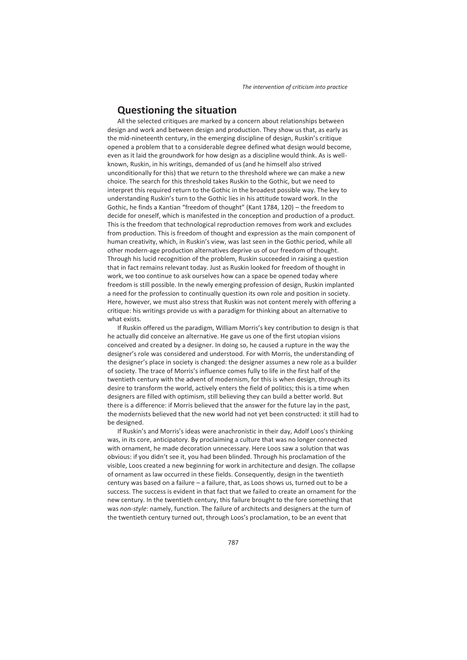## **Questioning the situation**

All the selected critiques are marked by a concern about relationships between design and work and between design and production. They show us that, as early as the mid-nineteenth century, in the emerging discipline of design, Ruskin's critique opened a problem that to a considerable degree defined what design would become, even as it laid the groundwork for how design as a discipline would think. As is wellknown, Ruskin, in his writings, demanded of us (and he himself also strived unconditionally for this) that we return to the threshold where we can make a new choice. The search for this threshold takes Ruskin to the Gothic, but we need to interpret this required return to the Gothic in the broadest possible way. The key to understanding Ruskin's turn to the Gothic lies in his attitude toward work. In the Gothic, he finds a Kantian "freedom of thought" (Kant 1784, 120) – the freedom to decide for oneself, which is manifested in the conception and production of a product. This is the freedom that technological reproduction removes from work and excludes from production. This is freedom of thought and expression as the main component of human creativity, which, in Ruskin's view, was last seen in the Gothic period, while all other modern-age production alternatives deprive us of our freedom of thought. Through his lucid recognition of the problem, Ruskin succeeded in raising a question that in fact remains relevant today. Just as Ruskin looked for freedom of thought in work, we too continue to ask ourselves how can a space be opened today where freedom is still possible. In the newly emerging profession of design, Ruskin implanted a need for the profession to continually question its own role and position in society. Here, however, we must also stress that Ruskin was not content merely with offering a critique: his writings provide us with a paradigm for thinking about an alternative to what exists.

If Ruskin offered us the paradigm, William Morris's key contribution to design is that he actually did conceive an alternative. He gave us one of the first utopian visions conceived and created by a designer. In doing so, he caused a rupture in the way the designer's role was considered and understood. For with Morris, the understanding of the designer's place in society is changed: the designer assumes a new role as a builder of society. The trace of Morris's influence comes fully to life in the first half of the twentieth century with the advent of modernism, for this is when design, through its desire to transform the world, actively enters the field of politics; this is a time when designers are filled with optimism, still believing they can build a better world. But there is a difference: if Morris believed that the answer for the future lay in the past, the modernists believed that the new world had not yet been constructed: it still had to be designed.

If Ruskin's and Morris's ideas were anachronistic in their day, Adolf Loos's thinking was, in its core, anticipatory. By proclaiming a culture that was no longer connected with ornament, he made decoration unnecessary. Here Loos saw a solution that was obvious: if you didn't see it, you had been blinded. Through his proclamation of the visible, Loos created a new beginning for work in architecture and design. The collapse of ornament as law occurred in these fields. Consequently, design in the twentieth century was based on a failure – a failure, that, as Loos shows us, turned out to be a success. The success is evident in that fact that we failed to create an ornament for the new century. In the twentieth century, this failure brought to the fore something that was *non-style*: namely, function. The failure of architects and designers at the turn of the twentieth century turned out, through Loos's proclamation, to be an event that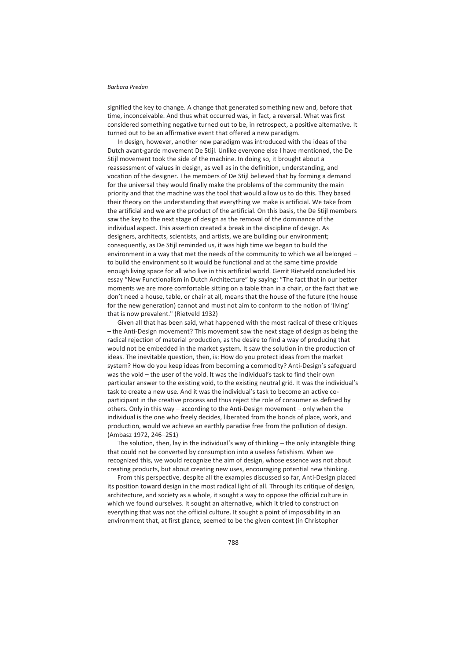signified the key to change. A change that generated something new and, before that time, inconceivable. And thus what occurred was, in fact, a reversal. What was first considered something negative turned out to be, in retrospect, a positive alternative. It turned out to be an affirmative event that offered a new paradigm.

In design, however, another new paradigm was introduced with the ideas of the Dutch avant-garde movement De Stijl. Unlike everyone else I have mentioned, the De Stijl movement took the side of the machine. In doing so, it brought about a reassessment of values in design, as well as in the definition, understanding, and vocation of the designer. The members of De Stijl believed that by forming a demand for the universal they would finally make the problems of the community the main priority and that the machine was the tool that would allow us to do this. They based their theory on the understanding that everything we make is artificial. We take from the artificial and we are the product of the artificial. On this basis, the De Stijl members saw the key to the next stage of design as the removal of the dominance of the individual aspect. This assertion created a break in the discipline of design. As designers, architects, scientists, and artists, we are building our environment; consequently, as De Stijl reminded us, it was high time we began to build the environment in a way that met the needs of the community to which we all belonged – to build the environment so it would be functional and at the same time provide enough living space for all who live in this artificial world. Gerrit Rietveld concluded his essay "New Functionalism in Dutch Architecture" by saying: "The fact that in our better moments we are more comfortable sitting on a table than in a chair, or the fact that we don't need a house, table, or chair at all, means that the house of the future (the house for the new generation) cannot and must not aim to conform to the notion of 'living' that is now prevalent." (Rietveld 1932)

Given all that has been said, what happened with the most radical of these critiques – the Anti-Design movement? This movement saw the next stage of design as being the radical rejection of material production, as the desire to find a way of producing that would not be embedded in the market system. It saw the solution in the production of ideas. The inevitable question, then, is: How do you protect ideas from the market system? How do you keep ideas from becoming a commodity? Anti-Design's safeguard was the void – the user of the void. It was the individual's task to find their own particular answer to the existing void, to the existing neutral grid. It was the individual's task to create a new use. And it was the individual's task to become an active coparticipant in the creative process and thus reject the role of consumer as defined by others. Only in this way – according to the Anti-Design movement – only when the individual is the one who freely decides, liberated from the bonds of place, work, and production, would we achieve an earthly paradise free from the pollution of design. (Ambasz 1972, 246–251)

The solution, then, lay in the individual's way of thinking  $-$  the only intangible thing that could not be converted by consumption into a useless fetishism. When we recognized this, we would recognize the aim of design, whose essence was not about creating products, but about creating new uses, encouraging potential new thinking.

From this perspective, despite all the examples discussed so far, Anti-Design placed its position toward design in the most radical light of all. Through its critique of design, architecture, and society as a whole, it sought a way to oppose the official culture in which we found ourselves. It sought an alternative, which it tried to construct on everything that was not the official culture. It sought a point of impossibility in an environment that, at first glance, seemed to be the given context (in Christopher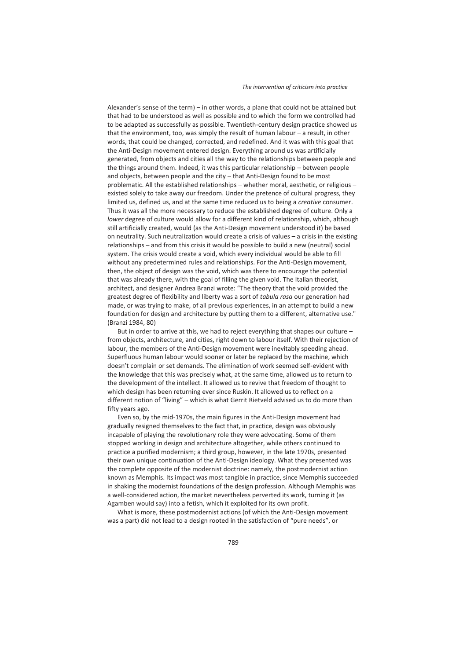Alexander's sense of the term) – in other words, a plane that could not be attained but that had to be understood as well as possible and to which the form we controlled had to be adapted as successfully as possible. Twentieth-century design practice showed us that the environment, too, was simply the result of human labour – a result, in other words, that could be changed, corrected, and redefined. And it was with this goal that the Anti-Design movement entered design. Everything around us was artificially generated, from objects and cities all the way to the relationships between people and the things around them. Indeed, it was this particular relationship – between people and objects, between people and the city – that Anti-Design found to be most problematic. All the established relationships – whether moral, aesthetic, or religious – existed solely to take away our freedom. Under the pretence of cultural progress, they limited us, defined us, and at the same time reduced us to being a *creative* consumer. Thus it was all the more necessary to reduce the established degree of culture. Only a *lower* degree of culture would allow for a different kind of relationship, which, although still artificially created, would (as the Anti-Design movement understood it) be based on neutrality. Such neutralization would create a crisis of values – a crisis in the existing relationships – and from this crisis it would be possible to build a new (neutral) social system. The crisis would create a void, which every individual would be able to fill without any predetermined rules and relationships. For the Anti-Design movement, then, the object of design was the void, which was there to encourage the potential that was already there, with the goal of filling the given void. The Italian theorist, architect, and designer Andrea Branzi wrote: "The theory that the void provided the greatest degree of flexibility and liberty was a sort of *tabula rasa* our generation had made, or was trying to make, of all previous experiences, in an attempt to build a new foundation for design and architecture by putting them to a different, alternative use." (Branzi 1984, 80)

But in order to arrive at this, we had to reject everything that shapes our culture – from objects, architecture, and cities, right down to labour itself. With their rejection of labour, the members of the Anti-Design movement were inevitably speeding ahead. Superfluous human labour would sooner or later be replaced by the machine, which doesn't complain or set demands. The elimination of work seemed self-evident with the knowledge that this was precisely what, at the same time, allowed us to return to the development of the intellect. It allowed us to revive that freedom of thought to which design has been returning ever since Ruskin. It allowed us to reflect on a different notion of "living" – which is what Gerrit Rietveld advised us to do more than fifty years ago.

Even so, by the mid-1970s, the main figures in the Anti-Design movement had gradually resigned themselves to the fact that, in practice, design was obviously incapable of playing the revolutionary role they were advocating. Some of them stopped working in design and architecture altogether, while others continued to practice a purified modernism; a third group, however, in the late 1970s, presented their own unique continuation of the Anti-Design ideology. What they presented was the complete opposite of the modernist doctrine: namely, the postmodernist action known as Memphis. Its impact was most tangible in practice, since Memphis succeeded in shaking the modernist foundations of the design profession. Although Memphis was a well-considered action, the market nevertheless perverted its work, turning it (as Agamben would say) into a fetish, which it exploited for its own profit.

What is more, these postmodernist actions (of which the Anti-Design movement was a part) did not lead to a design rooted in the satisfaction of "pure needs", or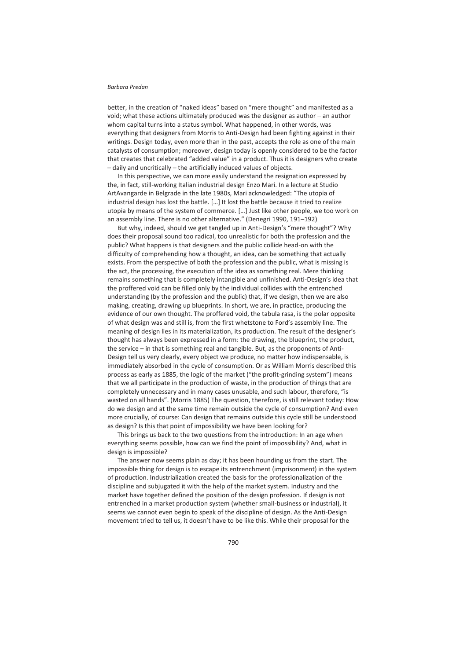better, in the creation of "naked ideas" based on "mere thought" and manifested as a void; what these actions ultimately produced was the designer as author – an author whom capital turns into a status symbol. What happened, in other words, was everything that designers from Morris to Anti-Design had been fighting against in their writings. Design today, even more than in the past, accepts the role as one of the main catalysts of consumption; moreover, design today is openly considered to be the factor that creates that celebrated "added value" in a product. Thus it is designers who create – daily and uncritically – the artificially induced values of objects.

In this perspective, we can more easily understand the resignation expressed by the, in fact, still-working Italian industrial design Enzo Mari. In a lecture at Studio ArtAvangarde in Belgrade in the late 1980s, Mari acknowledged: "The utopia of industrial design has lost the battle. […] It lost the battle because it tried to realize utopia by means of the system of commerce. […] Just like other people, we too work on an assembly line. There is no other alternative." (Denegri 1990, 191–192)

But why, indeed, should we get tangled up in Anti-Design's "mere thought"? Why does their proposal sound too radical, too unrealistic for both the profession and the public? What happens is that designers and the public collide head-on with the difficulty of comprehending how a thought, an idea, can be something that actually exists. From the perspective of both the profession and the public, what is missing is the act, the processing, the execution of the idea as something real. Mere thinking remains something that is completely intangible and unfinished. Anti-Design's idea that the proffered void can be filled only by the individual collides with the entrenched understanding (by the profession and the public) that, if we design, then we are also making, creating, drawing up blueprints. In short, we are, in practice, producing the evidence of our own thought. The proffered void, the tabula rasa, is the polar opposite of what design was and still is, from the first whetstone to Ford's assembly line. The meaning of design lies in its materialization, its production. The result of the designer's thought has always been expressed in a form: the drawing, the blueprint, the product, the service – in that is something real and tangible. But, as the proponents of Anti-Design tell us very clearly, every object we produce, no matter how indispensable, is immediately absorbed in the cycle of consumption. Or as William Morris described this process as early as 1885, the logic of the market ("the profit-grinding system") means that we all participate in the production of waste, in the production of things that are completely unnecessary and in many cases unusable, and such labour, therefore, "is wasted on all hands". (Morris 1885) The question, therefore, is still relevant today: How do we design and at the same time remain outside the cycle of consumption? And even more crucially, of course: Can design that remains outside this cycle still be understood as design? Is this that point of impossibility we have been looking for?

This brings us back to the two questions from the introduction: In an age when everything seems possible, how can we find the point of impossibility? And, what in design is impossible?

The answer now seems plain as day; it has been hounding us from the start. The impossible thing for design is to escape its entrenchment (imprisonment) in the system of production. Industrialization created the basis for the professionalization of the discipline and subjugated it with the help of the market system. Industry and the market have together defined the position of the design profession. If design is not entrenched in a market production system (whether small-business or industrial), it seems we cannot even begin to speak of the discipline of design. As the Anti-Design movement tried to tell us, it doesn't have to be like this. While their proposal for the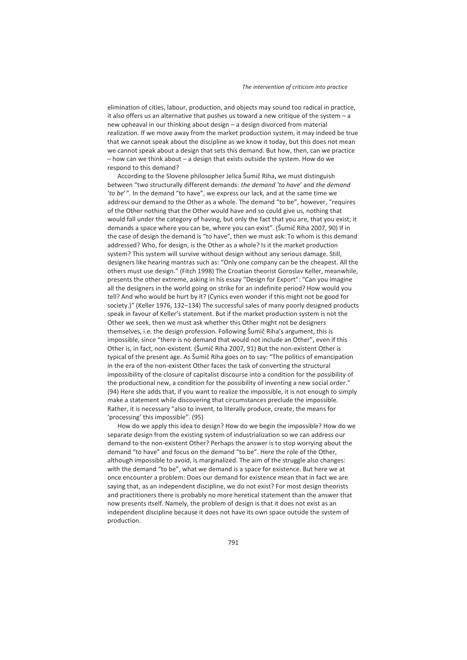elimination of cities, labour, production, and objects may sound too radical in practice, it also offers us an alternative that pushes us toward a new critique of the system – a new upheaval in our thinking about design – a design divorced from material realization. If we move away from the market production system, it may indeed be true that we cannot speak about the discipline as we know it today, but this does not mean we cannot speak about a design that sets this demand. But how, then, can we practice – how can we think about – a design that exists outside the system. How do we respond to this demand?

According to the Slovene philosopher Jelica Šumič Riha, we must distinguish between "two structurally different demands: *the demand* '*to have*' and *the demand*  '*to be*'"*.* In the demand "to have", we express our lack, and at the same time we address our demand to the Other as a whole. The demand "to be", however, "requires of the Other nothing that the Other would have and so could give us, nothing that would fall under the category of having, but only the fact that you are, that you exist; it demands a space where you can be, where you can exist". (Šumič Riha 2007, 90) If in the case of design the demand is "to have", then we must ask: To whom is this demand addressed? Who, for design, is the Other as a whole? Is it the market production system? This system will survive without design without any serious damage. Still, designers like hearing mantras such as: "Only one company can be the cheapest. All the others must use design." (Fitch 1998) The Croatian theorist Goroslav Keller, meanwhile, presents the other extreme, asking in his essay "Design for Export": "Can you imagine all the designers in the world going on strike for an indefinite period? How would you tell? And who would be hurt by it? (Cynics even wonder if this might not be good for society.)" (Keller 1976, 132–134) The successful sales of many poorly designed products speak in favour of Keller's statement. But if the market production system is not the Other we seek, then we must ask whether this Other might not be designers themselves, i.e. the design profession. Following Šumič Riha's argument, this is impossible, since "there is no demand that would not include an Other", even if this Other is, in fact, non-existent. (Šumič Riha 2007, 91) But the non-existent Other is typical of the present age. As Šumič Riha goes on to say: "The politics of emancipation in the era of the non-existent Other faces the task of converting the structural impossibility of the closure of capitalist discourse into a condition for the possibility of the productional new, a condition for the possibility of inventing a new social order." (94) Here she adds that, if you want to realize the impossible, it is not enough to simply make a statement while discovering that circumstances preclude the impossible. Rather, it is necessary "also to invent, to literally produce, create, the means for 'processing' this impossible". (95)

How do we apply this idea to design? How do we begin the impossible? How do we separate design from the existing system of industrialization so we can address our demand to the non-existent Other? Perhaps the answer is to stop worrying about the demand "to have" and focus on the demand "to be". Here the role of the Other, although impossible to avoid, is marginalized. The aim of the struggle also changes: with the demand "to be", what we demand is a space for existence. But here we at once encounter a problem: Does our demand for existence mean that in fact we are saying that, as an independent discipline, we do not exist? For most design theorists and practitioners there is probably no more heretical statement than the answer that now presents itself. Namely, the problem of design is that it does not exist as an independent discipline because it does not have its own space outside the system of production.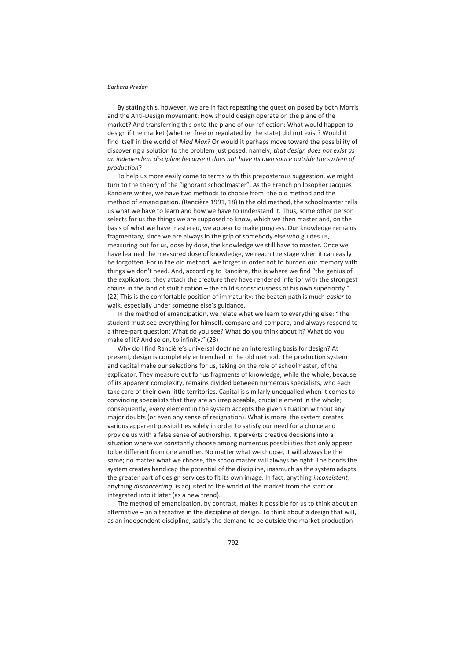By stating this, however, we are in fact repeating the question posed by both Morris and the Anti-Design movement: How should design operate on the plane of the market? And transferring this onto the plane of our reflection: What would happen to design if the market (whether free or regulated by the state) did not exist? Would it find itself in the world of *Mad Max*? Or would it perhaps move toward the possibility of discovering a solution to the problem just posed: namely, *that design does not exist as an independent discipline because it does not have its own space outside the system of production*?

To help us more easily come to terms with this preposterous suggestion, we might turn to the theory of the "ignorant schoolmaster". As the French philosopher Jacques Rancière writes, we have two methods to choose from: the old method and the method of emancipation. (Rancière 1991, 18) In the old method, the schoolmaster tells us what we have to learn and how we have to understand it. Thus, some other person selects for us the things we are supposed to know, which we then master and, on the basis of what we have mastered, we appear to make progress. Our knowledge remains fragmentary, since we are always in the grip of somebody else who guides us, measuring out for us, dose by dose, the knowledge we still have to master. Once we have learned the measured dose of knowledge, we reach the stage when it can easily be forgotten. For in the old method, we forget in order not to burden our memory with things we don't need. And, according to Rancière, this is where we find "the genius of the explicators: they attach the creature they have rendered inferior with the strongest chains in the land of stultification – the child's consciousness of his own superiority." (22) This is the comfortable position of immaturity: the beaten path is much *easier* to walk, especially under someone else's guidance.

In the method of emancipation, we relate what we learn to everything else: "The student must see everything for himself, compare and compare, and always respond to a three-part question: What do you see? What do you think about it? What do you make of it? And so on, to infinity." (23)

Why do I find Rancière's universal doctrine an interesting basis for design? At present, design is completely entrenched in the old method. The production system and capital make our selections for us, taking on the role of schoolmaster, of the explicator. They measure out for us fragments of knowledge, while the whole, because of its apparent complexity, remains divided between numerous specialists, who each take care of their own little territories. Capital is similarly unequalled when it comes to convincing specialists that they are an irreplaceable, crucial element in the whole; consequently, every element in the system accepts the given situation without any major doubts (or even any sense of resignation). What is more, the system creates various apparent possibilities solely in order to satisfy our need for a choice and provide us with a false sense of authorship. It perverts creative decisions into a situation where we constantly choose among numerous possibilities that only appear to be different from one another. No matter what we choose, it will always be the same; no matter what we choose, the schoolmaster will always be right. The bonds the system creates handicap the potential of the discipline, inasmuch as the system adapts the greater part of design services to fit its own image. In fact, anything *inconsistent*, anything *disconcerting*, is adjusted to the world of the market from the start or integrated into it later (as a new trend).

The method of emancipation, by contrast, makes it possible for us to think about an alternative – an alternative in the discipline of design. To think about a design that will, as an independent discipline, satisfy the demand to be outside the market production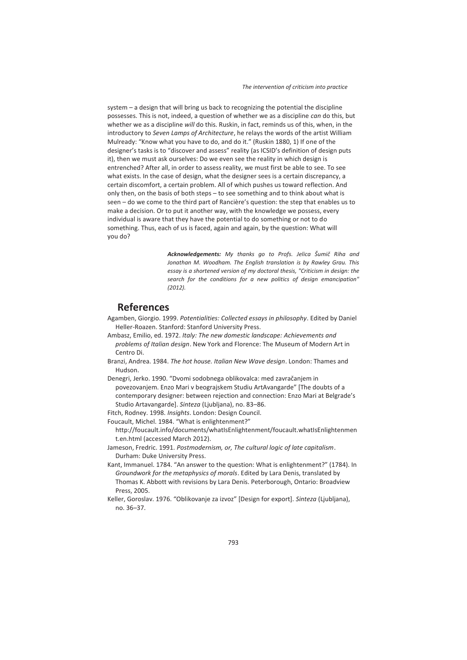system – a design that will bring us back to recognizing the potential the discipline possesses. This is not, indeed, a question of whether we as a discipline *can* do this, but whether we as a discipline *will* do this. Ruskin, in fact, reminds us of this, when, in the introductory to *Seven Lamps of Architecture*, he relays the words of the artist William Mulready: "Know what you have to do, and do it." (Ruskin 1880, 1) If one of the designer's tasks is to "discover and assess" reality (as ICSID's definition of design puts it), then we must ask ourselves: Do we even see the reality in which design is entrenched? After all, in order to assess reality, we must first be able to see. To see what exists. In the case of design, what the designer sees is a certain discrepancy, a certain discomfort, a certain problem. All of which pushes us toward reflection. And only then, on the basis of both steps – to see something and to think about what is seen – do we come to the third part of Rancière's question: the step that enables us to make a decision. Or to put it another way, with the knowledge we possess, every individual is aware that they have the potential to do something or not to do something. Thus, each of us is faced, again and again, by the question: What will you do?

> *Acknowledgements: My thanks go to Profs. Jelica Šumič Riha and Jonathan M. Woodham. The English translation is by Rawley Grau. This essay is a shortened version of my doctoral thesis, "Criticism in design: the search for the conditions for a new politics of design emancipation" (2012).*

## **References**

- Agamben, Giorgio. 1999. *Potentialities: Collected essays in philosophy*. Edited by Daniel Heller-Roazen. Stanford: Stanford University Press.
- Ambasz, Emilio, ed. 1972. *Italy: The new domestic landscape: Achievements and problems of Italian design*. New York and Florence: The Museum of Modern Art in Centro Di.
- Branzi, Andrea. 1984. *The hot house. Italian New Wave design*. London: Thames and Hudson.

Denegri, Jerko. 1990. "Dvomi sodobnega oblikovalca: med zavračanjem in povezovanjem. Enzo Mari v beograjskem Studiu ArtAvangarde" [The doubts of a contemporary designer: between rejection and connection: Enzo Mari at Belgrade's Studio Artavangarde]. *Sinteza* (Ljubljana), no. 83–86.

Fitch, Rodney. 1998. *Insights*. London: Design Council.

Foucault, Michel. 1984. "What is enlightenment?"

http://foucault.info/documents/whatIsEnlightenment/foucault.whatIsEnlightenmen t.en.html (accessed March 2012).

- Jameson, Fredric. 1991. *Postmodernism, or, The cultural logic of late capitalism*. Durham: Duke University Press.
- Kant, Immanuel. 1784. "An answer to the question: What is enlightenment?" (1784). In *Groundwork for the metaphysics of morals*. Edited by Lara Denis, translated by Thomas K. Abbott with revisions by Lara Denis. Peterborough, Ontario: Broadview Press, 2005.
- Keller, Goroslav. 1976. "Oblikovanje za izvoz" [Design for export]. *Sinteza* (Ljubljana), no. 36–37.